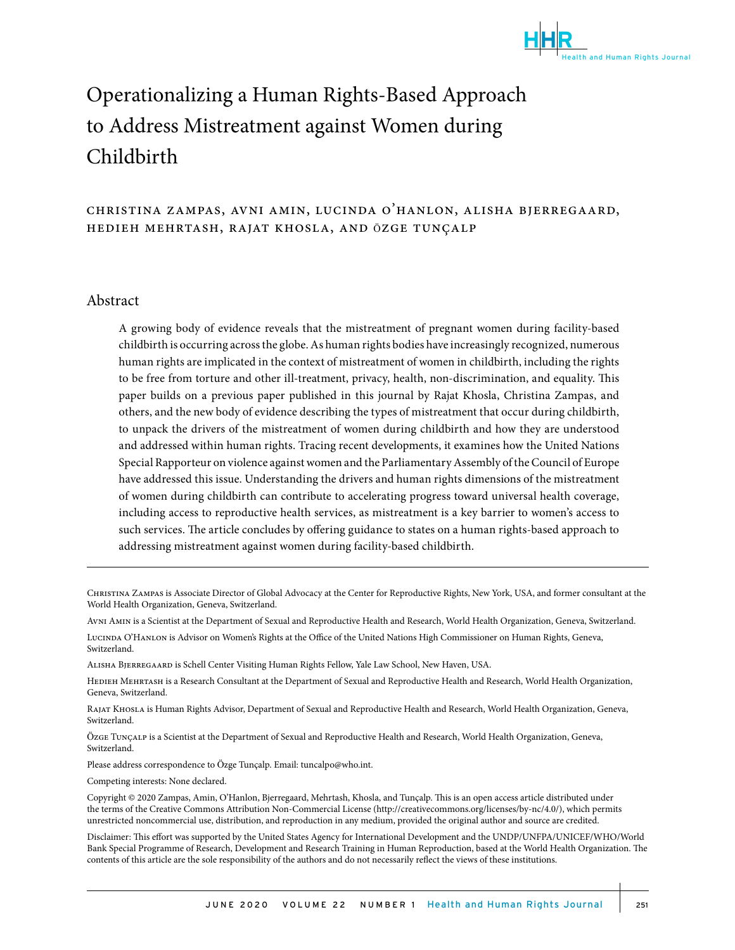

# Operationalizing a Human Rights-Based Approach to Address Mistreatment against Women during Childbirth

#### christina zampas, avni amin, lucinda o'hanlon, alisha bjerregaard, hedieh mehrtash, rajat khosla, and ӧzge tunçalp

#### Abstract

A growing body of evidence reveals that the mistreatment of pregnant women during facility-based childbirth is occurring across the globe. As human rights bodies have increasingly recognized, numerous human rights are implicated in the context of mistreatment of women in childbirth, including the rights to be free from torture and other ill-treatment, privacy, health, non-discrimination, and equality. This paper builds on a previous paper published in this journal by Rajat Khosla, Christina Zampas, and others, and the new body of evidence describing the types of mistreatment that occur during childbirth, to unpack the drivers of the mistreatment of women during childbirth and how they are understood and addressed within human rights. Tracing recent developments, it examines how the United Nations Special Rapporteur on violence against women and the Parliamentary Assembly of the Council of Europe have addressed this issue. Understanding the drivers and human rights dimensions of the mistreatment of women during childbirth can contribute to accelerating progress toward universal health coverage, including access to reproductive health services, as mistreatment is a key barrier to women's access to such services. The article concludes by offering guidance to states on a human rights-based approach to addressing mistreatment against women during facility-based childbirth.

Christina Zampas is Associate Director of Global Advocacy at the Center for Reproductive Rights, New York, USA, and former consultant at the World Health Organization, Geneva, Switzerland.

Avni Amin is a Scientist at the Department of Sexual and Reproductive Health and Research, World Health Organization, Geneva, Switzerland. Lucinda O'Hanlon is Advisor on Women's Rights at the Office of the United Nations High Commissioner on Human Rights, Geneva, Switzerland.

Alisha Bjerregaard is Schell Center Visiting Human Rights Fellow, Yale Law School, New Haven, USA.

Hedieh Mehrtash is a Research Consultant at the Department of Sexual and Reproductive Health and Research, World Health Organization, Geneva, Switzerland.

Rajat Khosla is Human Rights Advisor, Department of Sexual and Reproductive Health and Research, World Health Organization, Geneva, Switzerland.

Ӧzge Tunçalp is a Scientist at the Department of Sexual and Reproductive Health and Research, World Health Organization, Geneva, Switzerland.

Please address correspondence to Ӧzge Tunçalp. Email: tuncalpo@who.int.

Competing interests: None declared.

Copyright © 2020 Zampas, Amin, O'Hanlon, Bjerregaard, Mehrtash, Khosla, and Tunçalp. This is an open access article distributed under the terms of the Creative Commons Attribution Non-Commercial License (http://creativecommons.org/licenses/by-nc/4.0/), which permits unrestricted noncommercial use, distribution, and reproduction in any medium, provided the original author and source are credited.

Disclaimer: This effort was supported by the United States Agency for International Development and the UNDP/UNFPA/UNICEF/WHO/World Bank Special Programme of Research, Development and Research Training in Human Reproduction, based at the World Health Organization. The contents of this article are the sole responsibility of the authors and do not necessarily reflect the views of these institutions.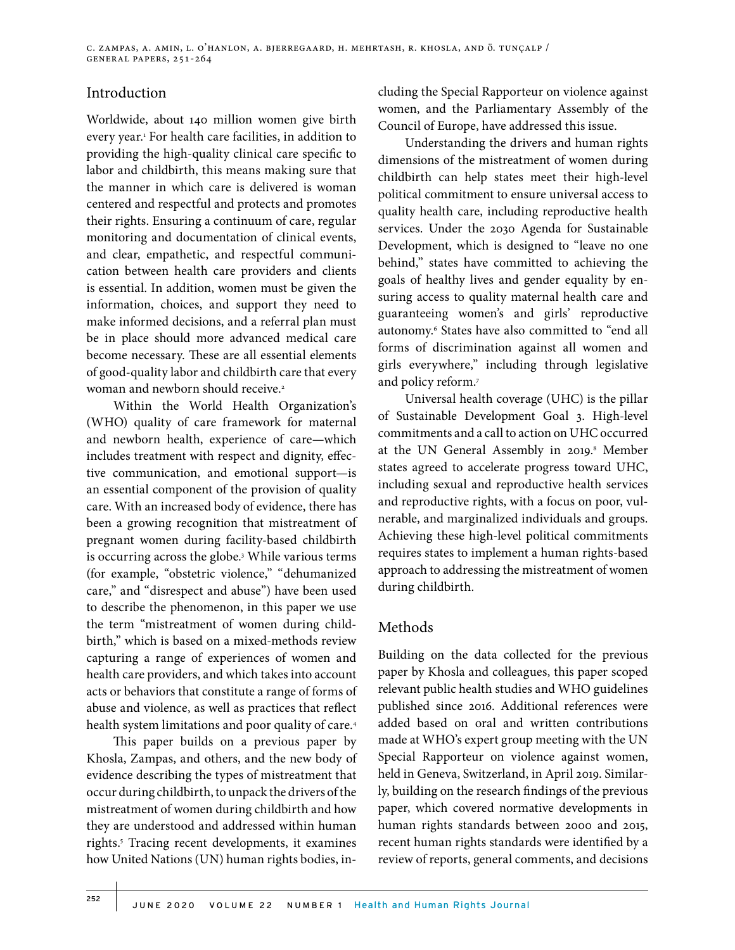#### Introduction

Worldwide, about 140 million women give birth every year.1 For health care facilities, in addition to providing the high-quality clinical care specific to labor and childbirth, this means making sure that the manner in which care is delivered is woman centered and respectful and protects and promotes their rights. Ensuring a continuum of care, regular monitoring and documentation of clinical events, and clear, empathetic, and respectful communication between health care providers and clients is essential. In addition, women must be given the information, choices, and support they need to make informed decisions, and a referral plan must be in place should more advanced medical care become necessary. These are all essential elements of good-quality labor and childbirth care that every woman and newborn should receive.<sup>2</sup>

Within the World Health Organization's (WHO) quality of care framework for maternal and newborn health, experience of care—which includes treatment with respect and dignity, effective communication, and emotional support—is an essential component of the provision of quality care. With an increased body of evidence, there has been a growing recognition that mistreatment of pregnant women during facility-based childbirth is occurring across the globe*.* <sup>3</sup> While various terms (for example, "obstetric violence," "dehumanized care," and "disrespect and abuse") have been used to describe the phenomenon, in this paper we use the term "mistreatment of women during childbirth," which is based on a mixed-methods review capturing a range of experiences of women and health care providers, and which takes into account acts or behaviors that constitute a range of forms of abuse and violence, as well as practices that reflect health system limitations and poor quality of care.<sup>4</sup>

This paper builds on a previous paper by Khosla, Zampas, and others, and the new body of evidence describing the types of mistreatment that occur during childbirth, to unpack the drivers of the mistreatment of women during childbirth and how they are understood and addressed within human rights.5 Tracing recent developments, it examines how United Nations (UN) human rights bodies, including the Special Rapporteur on violence against women, and the Parliamentary Assembly of the Council of Europe, have addressed this issue.

Understanding the drivers and human rights dimensions of the mistreatment of women during childbirth can help states meet their high-level political commitment to ensure universal access to quality health care, including reproductive health services. Under the 2030 Agenda for Sustainable Development, which is designed to "leave no one behind," states have committed to achieving the goals of healthy lives and gender equality by ensuring access to quality maternal health care and guaranteeing women's and girls' reproductive autonomy.6 States have also committed to "end all forms of discrimination against all women and girls everywhere," including through legislative and policy reform.<sup>7</sup>

Universal health coverage (UHC) is the pillar of Sustainable Development Goal 3. High-level commitments and a call to action on UHC occurred at the UN General Assembly in 2019.<sup>8</sup> Member states agreed to accelerate progress toward UHC, including sexual and reproductive health services and reproductive rights, with a focus on poor, vulnerable, and marginalized individuals and groups. Achieving these high-level political commitments requires states to implement a human rights-based approach to addressing the mistreatment of women during childbirth.

### Methods

Building on the data collected for the previous paper by Khosla and colleagues, this paper scoped relevant public health studies and WHO guidelines published since 2016. Additional references were added based on oral and written contributions made at WHO's expert group meeting with the UN Special Rapporteur on violence against women, held in Geneva, Switzerland, in April 2019. Similarly, building on the research findings of the previous paper, which covered normative developments in human rights standards between 2000 and 2015, recent human rights standards were identified by a review of reports, general comments, and decisions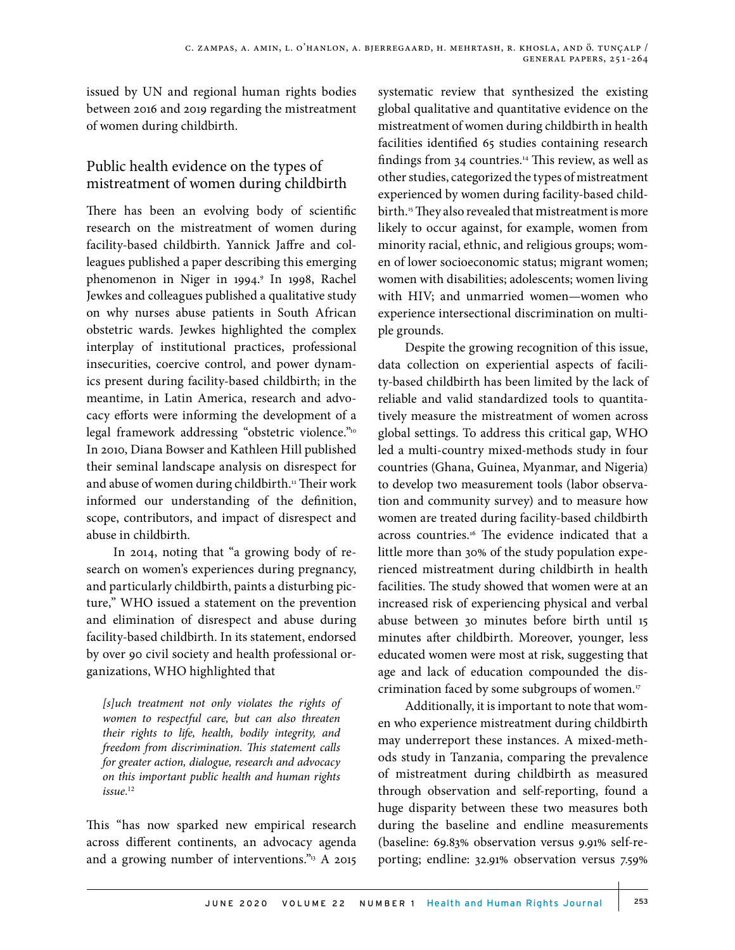issued by UN and regional human rights bodies between 2016 and 2019 regarding the mistreatment of women during childbirth.

# Public health evidence on the types of mistreatment of women during childbirth

There has been an evolving body of scientific research on the mistreatment of women during facility-based childbirth. Yannick Jaffre and colleagues published a paper describing this emerging phenomenon in Niger in 1994.9 In 1998, Rachel Jewkes and colleagues published a qualitative study on why nurses abuse patients in South African obstetric wards. Jewkes highlighted the complex interplay of institutional practices, professional insecurities, coercive control, and power dynamics present during facility-based childbirth; in the meantime, in Latin America, research and advocacy efforts were informing the development of a legal framework addressing "obstetric violence."<sup>10</sup> In 2010, Diana Bowser and Kathleen Hill published their seminal landscape analysis on disrespect for and abuse of women during childbirth.<sup>11</sup> Their work informed our understanding of the definition, scope, contributors, and impact of disrespect and abuse in childbirth.

In 2014, noting that "a growing body of research on women's experiences during pregnancy, and particularly childbirth, paints a disturbing picture," WHO issued a statement on the prevention and elimination of disrespect and abuse during facility-based childbirth. In its statement, endorsed by over 90 civil society and health professional organizations, WHO highlighted that

*[s]uch treatment not only violates the rights of women to respectful care, but can also threaten their rights to life, health, bodily integrity, and freedom from discrimination. This statement calls for greater action, dialogue, research and advocacy on this important public health and human rights issue*. 12

This "has now sparked new empirical research across different continents, an advocacy agenda and a growing number of interventions." $13$  A 2015 systematic review that synthesized the existing global qualitative and quantitative evidence on the mistreatment of women during childbirth in health facilities identified 65 studies containing research findings from 34 countries.14 This review, as well as other studies, categorized the types of mistreatment experienced by women during facility-based childbirth.<sup>15</sup> They also revealed that mistreatment is more likely to occur against, for example, women from minority racial, ethnic, and religious groups; women of lower socioeconomic status; migrant women; women with disabilities; adolescents; women living with HIV; and unmarried women—women who experience intersectional discrimination on multiple grounds.

Despite the growing recognition of this issue, data collection on experiential aspects of facility-based childbirth has been limited by the lack of reliable and valid standardized tools to quantitatively measure the mistreatment of women across global settings. To address this critical gap, WHO led a multi-country mixed-methods study in four countries (Ghana, Guinea, Myanmar, and Nigeria) to develop two measurement tools (labor observation and community survey) and to measure how women are treated during facility-based childbirth across countries.<sup>16</sup> The evidence indicated that a little more than 30% of the study population experienced mistreatment during childbirth in health facilities. The study showed that women were at an increased risk of experiencing physical and verbal abuse between 30 minutes before birth until 15 minutes after childbirth. Moreover, younger, less educated women were most at risk, suggesting that age and lack of education compounded the discrimination faced by some subgroups of women.17

Additionally, it is important to note that women who experience mistreatment during childbirth may underreport these instances. A mixed-methods study in Tanzania, comparing the prevalence of mistreatment during childbirth as measured through observation and self-reporting, found a huge disparity between these two measures both during the baseline and endline measurements (baseline: 69.83% observation versus 9.91% self-reporting; endline: 32.91% observation versus 7.59%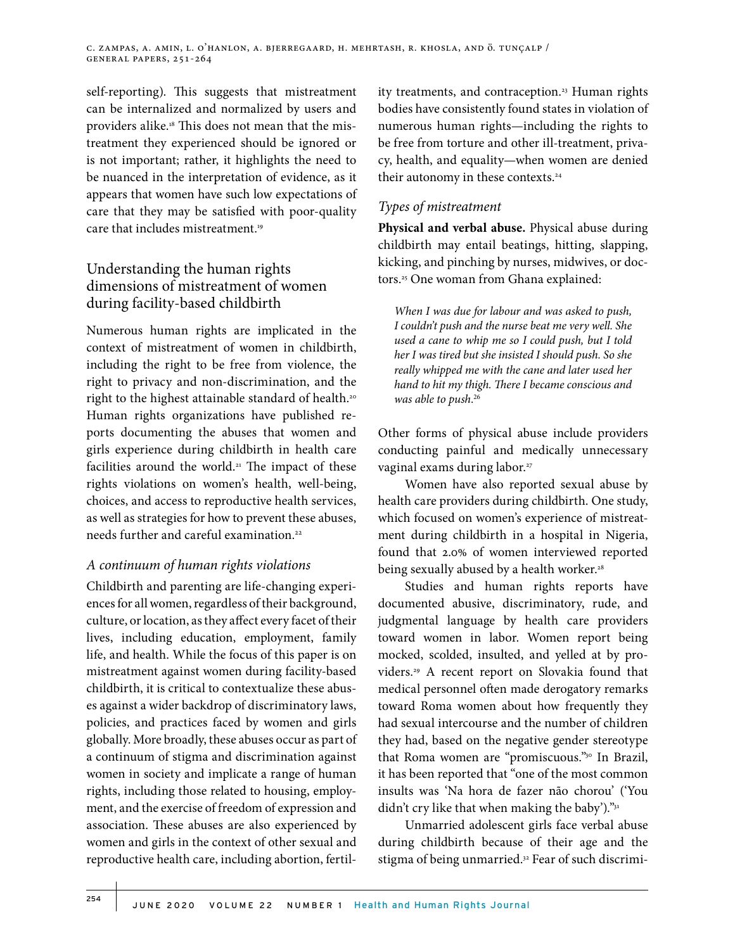c. zampas, a. amin, l. o'hanlon, a. bjerregaard, h. mehrtash, r. khosla, and ӧ. tunçalp / general papers, 251-264

self-reporting). This suggests that mistreatment can be internalized and normalized by users and providers alike.18 This does not mean that the mistreatment they experienced should be ignored or is not important; rather, it highlights the need to be nuanced in the interpretation of evidence, as it appears that women have such low expectations of care that they may be satisfied with poor-quality care that includes mistreatment.<sup>19</sup>

# Understanding the human rights dimensions of mistreatment of women during facility-based childbirth

Numerous human rights are implicated in the context of mistreatment of women in childbirth, including the right to be free from violence, the right to privacy and non-discrimination, and the right to the highest attainable standard of health.<sup>20</sup> Human rights organizations have published reports documenting the abuses that women and girls experience during childbirth in health care facilities around the world.<sup>21</sup> The impact of these rights violations on women's health, well-being, choices, and access to reproductive health services, as well as strategies for how to prevent these abuses, needs further and careful examination.<sup>22</sup>

#### *A continuum of human rights violations*

Childbirth and parenting are life-changing experiences for all women, regardless of their background, culture, or location, as they affect every facet of their lives, including education, employment, family life, and health. While the focus of this paper is on mistreatment against women during facility-based childbirth, it is critical to contextualize these abuses against a wider backdrop of discriminatory laws, policies, and practices faced by women and girls globally. More broadly, these abuses occur as part of a continuum of stigma and discrimination against women in society and implicate a range of human rights, including those related to housing, employment, and the exercise of freedom of expression and association. These abuses are also experienced by women and girls in the context of other sexual and reproductive health care, including abortion, fertility treatments, and contraception.<sup>23</sup> Human rights bodies have consistently found states in violation of numerous human rights—including the rights to be free from torture and other ill-treatment, privacy, health, and equality—when women are denied their autonomy in these contexts.<sup>24</sup>

### *Types of mistreatment*

**Physical and verbal abuse.** Physical abuse during childbirth may entail beatings, hitting, slapping, kicking, and pinching by nurses, midwives, or doctors.25 One woman from Ghana explained:

*When I was due for labour and was asked to push, I couldn't push and the nurse beat me very well. She used a cane to whip me so I could push, but I told her I was tired but she insisted I should push. So she really whipped me with the cane and later used her hand to hit my thigh. There I became conscious and was able to push*. 26

Other forms of physical abuse include providers conducting painful and medically unnecessary vaginal exams during labor.<sup>27</sup>

Women have also reported sexual abuse by health care providers during childbirth. One study, which focused on women's experience of mistreatment during childbirth in a hospital in Nigeria, found that 2.0% of women interviewed reported being sexually abused by a health worker.<sup>28</sup>

Studies and human rights reports have documented abusive, discriminatory, rude, and judgmental language by health care providers toward women in labor. Women report being mocked, scolded, insulted, and yelled at by providers.29 A recent report on Slovakia found that medical personnel often made derogatory remarks toward Roma women about how frequently they had sexual intercourse and the number of children they had, based on the negative gender stereotype that Roma women are "promiscuous."30 In Brazil, it has been reported that "one of the most common insults was 'Na hora de fazer não chorou' ('You didn't cry like that when making the baby')."31

Unmarried adolescent girls face verbal abuse during childbirth because of their age and the stigma of being unmarried.<sup>32</sup> Fear of such discrimi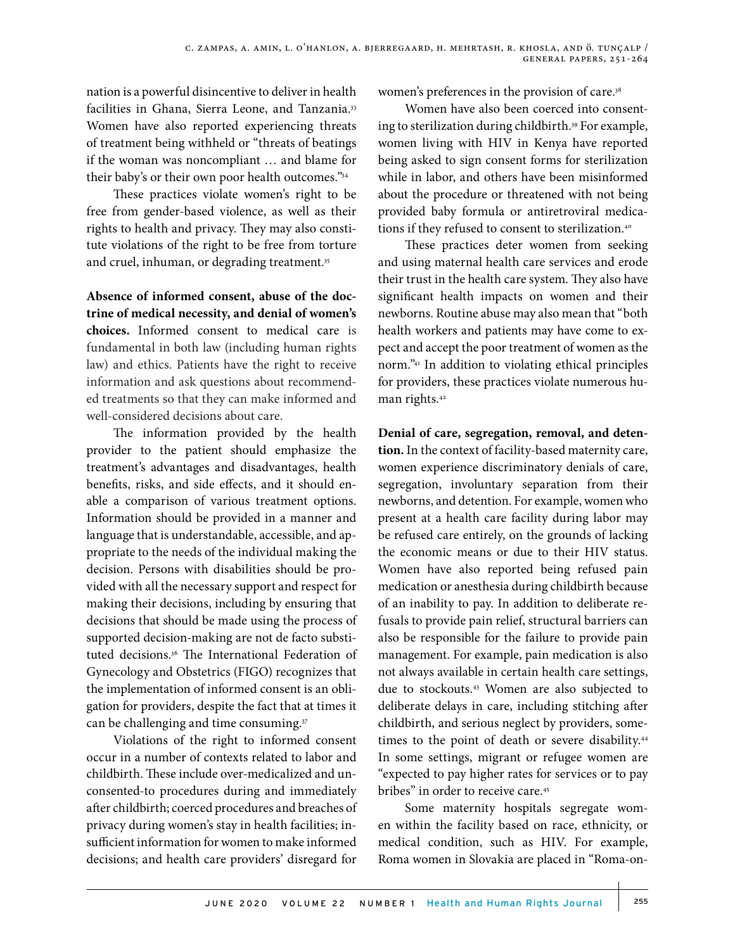nation is a powerful disincentive to deliver in health facilities in Ghana, Sierra Leone, and Tanzania.<sup>33</sup> Women have also reported experiencing threats of treatment being withheld or "threats of beatings if the woman was noncompliant … and blame for their baby's or their own poor health outcomes."34

These practices violate women's right to be free from gender-based violence, as well as their rights to health and privacy. They may also constitute violations of the right to be free from torture and cruel, inhuman, or degrading treatment.<sup>35</sup>

**Absence of informed consent, abuse of the doctrine of medical necessity, and denial of women's choices.** Informed consent to medical care is fundamental in both law (including human rights law) and ethics. Patients have the right to receive information and ask questions about recommended treatments so that they can make informed and well-considered decisions about care.

The information provided by the health provider to the patient should emphasize the treatment's advantages and disadvantages, health benefits, risks, and side effects, and it should enable a comparison of various treatment options. Information should be provided in a manner and language that is understandable, accessible, and appropriate to the needs of the individual making the decision. Persons with disabilities should be provided with all the necessary support and respect for making their decisions, including by ensuring that decisions that should be made using the process of supported decision-making are not de facto substituted decisions.36 The International Federation of Gynecology and Obstetrics (FIGO) recognizes that the implementation of informed consent is an obligation for providers, despite the fact that at times it can be challenging and time consuming.<sup>37</sup>

Violations of the right to informed consent occur in a number of contexts related to labor and childbirth. These include over-medicalized and unconsented-to procedures during and immediately after childbirth; coerced procedures and breaches of privacy during women's stay in health facilities; insufficient information for women to make informed decisions; and health care providers' disregard for

women's preferences in the provision of care.<sup>38</sup>

Women have also been coerced into consenting to sterilization during childbirth.<sup>39</sup> For example, women living with HIV in Kenya have reported being asked to sign consent forms for sterilization while in labor, and others have been misinformed about the procedure or threatened with not being provided baby formula or antiretroviral medications if they refused to consent to sterilization.<sup>40</sup>

These practices deter women from seeking and using maternal health care services and erode their trust in the health care system. They also have significant health impacts on women and their newborns. Routine abuse may also mean that "both health workers and patients may have come to expect and accept the poor treatment of women as the norm."41 In addition to violating ethical principles for providers, these practices violate numerous human rights.<sup>42</sup>

**Denial of care, segregation, removal, and detention.** In the context of facility-based maternity care, women experience discriminatory denials of care, segregation, involuntary separation from their newborns, and detention. For example, women who present at a health care facility during labor may be refused care entirely, on the grounds of lacking the economic means or due to their HIV status. Women have also reported being refused pain medication or anesthesia during childbirth because of an inability to pay. In addition to deliberate refusals to provide pain relief, structural barriers can also be responsible for the failure to provide pain management. For example, pain medication is also not always available in certain health care settings, due to stockouts.43 Women are also subjected to deliberate delays in care, including stitching after childbirth, and serious neglect by providers, sometimes to the point of death or severe disability.<sup>44</sup> In some settings, migrant or refugee women are "expected to pay higher rates for services or to pay bribes" in order to receive care.<sup>45</sup>

Some maternity hospitals segregate women within the facility based on race, ethnicity, or medical condition, such as HIV. For example, Roma women in Slovakia are placed in "Roma-on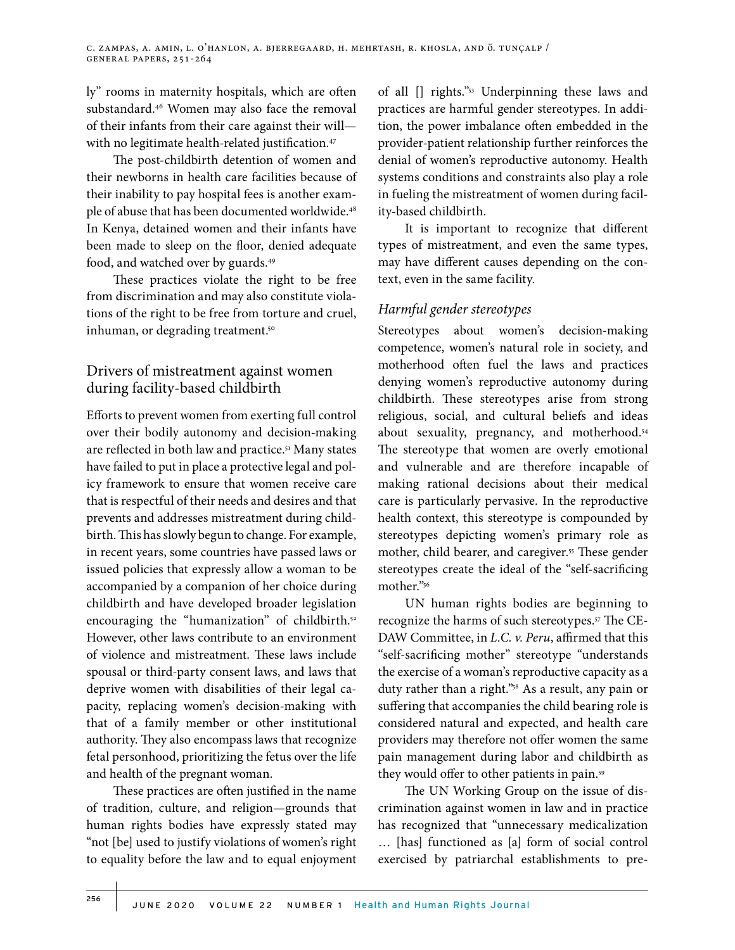ly" rooms in maternity hospitals, which are often substandard.46 Women may also face the removal of their infants from their care against their will with no legitimate health-related justification.<sup>47</sup>

The post-childbirth detention of women and their newborns in health care facilities because of their inability to pay hospital fees is another example of abuse that has been documented worldwide.<sup>48</sup> In Kenya, detained women and their infants have been made to sleep on the floor, denied adequate food, and watched over by guards.49

These practices violate the right to be free from discrimination and may also constitute violations of the right to be free from torture and cruel, inhuman, or degrading treatment.<sup>50</sup>

# Drivers of mistreatment against women during facility-based childbirth

Efforts to prevent women from exerting full control over their bodily autonomy and decision-making are reflected in both law and practice.<sup>51</sup> Many states have failed to put in place a protective legal and policy framework to ensure that women receive care that is respectful of their needs and desires and that prevents and addresses mistreatment during childbirth. This has slowly begun to change. For example, in recent years, some countries have passed laws or issued policies that expressly allow a woman to be accompanied by a companion of her choice during childbirth and have developed broader legislation encouraging the "humanization" of childbirth.<sup>52</sup> However, other laws contribute to an environment of violence and mistreatment. These laws include spousal or third-party consent laws, and laws that deprive women with disabilities of their legal capacity, replacing women's decision-making with that of a family member or other institutional authority. They also encompass laws that recognize fetal personhood, prioritizing the fetus over the life and health of the pregnant woman.

These practices are often justified in the name of tradition, culture, and religion—grounds that human rights bodies have expressly stated may "not [be] used to justify violations of women's right to equality before the law and to equal enjoyment

of all [] rights."53 Underpinning these laws and practices are harmful gender stereotypes. In addition, the power imbalance often embedded in the provider-patient relationship further reinforces the denial of women's reproductive autonomy. Health systems conditions and constraints also play a role in fueling the mistreatment of women during facility-based childbirth.

It is important to recognize that different types of mistreatment, and even the same types, may have different causes depending on the context, even in the same facility.

## *Harmful gender stereotypes*

Stereotypes about women's decision-making competence, women's natural role in society, and motherhood often fuel the laws and practices denying women's reproductive autonomy during childbirth. These stereotypes arise from strong religious, social, and cultural beliefs and ideas about sexuality, pregnancy, and motherhood.<sup>54</sup> The stereotype that women are overly emotional and vulnerable and are therefore incapable of making rational decisions about their medical care is particularly pervasive. In the reproductive health context, this stereotype is compounded by stereotypes depicting women's primary role as mother, child bearer, and caregiver.<sup>55</sup> These gender stereotypes create the ideal of the "self-sacrificing mother."56

UN human rights bodies are beginning to recognize the harms of such stereotypes.57 The CE-DAW Committee, in *L.C. v. Peru*, affirmed that this "self-sacrificing mother" stereotype "understands the exercise of a woman's reproductive capacity as a duty rather than a right."58 As a result, any pain or suffering that accompanies the child bearing role is considered natural and expected, and health care providers may therefore not offer women the same pain management during labor and childbirth as they would offer to other patients in pain.59

The UN Working Group on the issue of discrimination against women in law and in practice has recognized that "unnecessary medicalization … [has] functioned as [a] form of social control exercised by patriarchal establishments to pre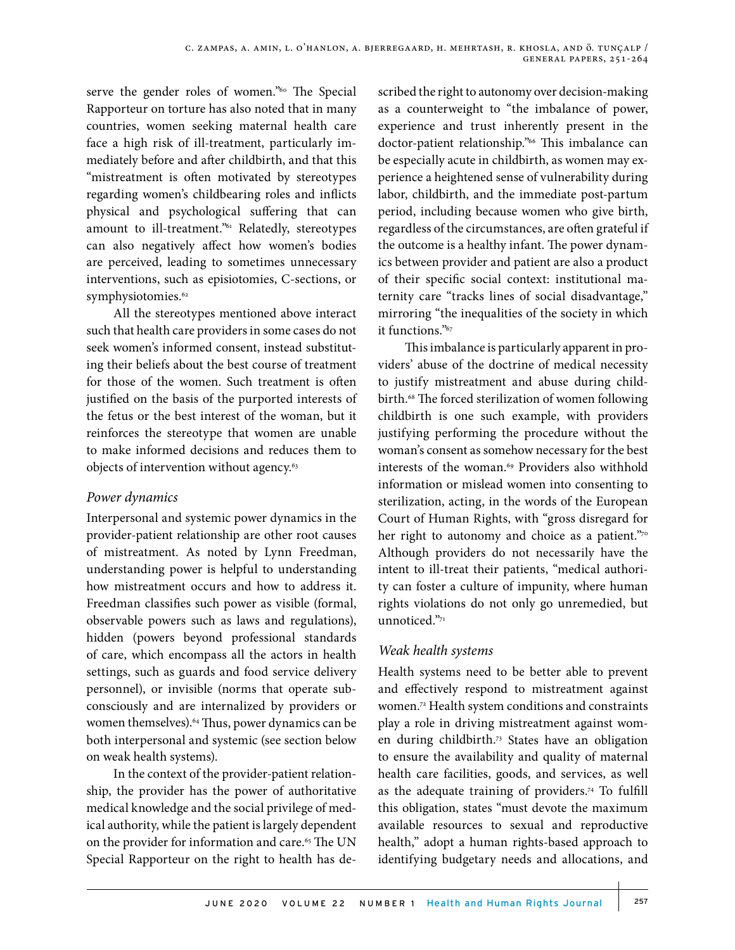serve the gender roles of women."<sup>60</sup> The Special Rapporteur on torture has also noted that in many countries, women seeking maternal health care face a high risk of ill-treatment, particularly immediately before and after childbirth, and that this "mistreatment is often motivated by stereotypes regarding women's childbearing roles and inflicts physical and psychological suffering that can amount to ill-treatment."<sup>61</sup> Relatedly, stereotypes can also negatively affect how women's bodies are perceived, leading to sometimes unnecessary interventions, such as episiotomies, C-sections, or symphysiotomies.<sup>62</sup>

All the stereotypes mentioned above interact such that health care providers in some cases do not seek women's informed consent, instead substituting their beliefs about the best course of treatment for those of the women. Such treatment is often justified on the basis of the purported interests of the fetus or the best interest of the woman, but it reinforces the stereotype that women are unable to make informed decisions and reduces them to objects of intervention without agency.63

### *Power dynamics*

Interpersonal and systemic power dynamics in the provider-patient relationship are other root causes of mistreatment. As noted by Lynn Freedman, understanding power is helpful to understanding how mistreatment occurs and how to address it. Freedman classifies such power as visible (formal, observable powers such as laws and regulations), hidden (powers beyond professional standards of care, which encompass all the actors in health settings, such as guards and food service delivery personnel), or invisible (norms that operate subconsciously and are internalized by providers or women themselves).<sup>64</sup> Thus, power dynamics can be both interpersonal and systemic (see section below on weak health systems).

In the context of the provider-patient relationship, the provider has the power of authoritative medical knowledge and the social privilege of medical authority, while the patient is largely dependent on the provider for information and care.<sup>65</sup> The UN Special Rapporteur on the right to health has described the right to autonomy over decision-making as a counterweight to "the imbalance of power, experience and trust inherently present in the doctor-patient relationship."66 This imbalance can be especially acute in childbirth, as women may experience a heightened sense of vulnerability during labor, childbirth, and the immediate post-partum period, including because women who give birth, regardless of the circumstances, are often grateful if the outcome is a healthy infant. The power dynamics between provider and patient are also a product of their specific social context: institutional maternity care "tracks lines of social disadvantage," mirroring "the inequalities of the society in which it functions."67

This imbalance is particularly apparent in providers' abuse of the doctrine of medical necessity to justify mistreatment and abuse during childbirth.<sup>68</sup> The forced sterilization of women following childbirth is one such example, with providers justifying performing the procedure without the woman's consent as somehow necessary for the best interests of the woman.<sup>69</sup> Providers also withhold information or mislead women into consenting to sterilization, acting, in the words of the European Court of Human Rights, with "gross disregard for her right to autonomy and choice as a patient."70 Although providers do not necessarily have the intent to ill-treat their patients, "medical authority can foster a culture of impunity, where human rights violations do not only go unremedied, but unnoticed."71

### *Weak health systems*

Health systems need to be better able to prevent and effectively respond to mistreatment against women.72 Health system conditions and constraints play a role in driving mistreatment against women during childbirth.73 States have an obligation to ensure the availability and quality of maternal health care facilities, goods, and services, as well as the adequate training of providers.74 To fulfill this obligation, states "must devote the maximum available resources to sexual and reproductive health," adopt a human rights-based approach to identifying budgetary needs and allocations, and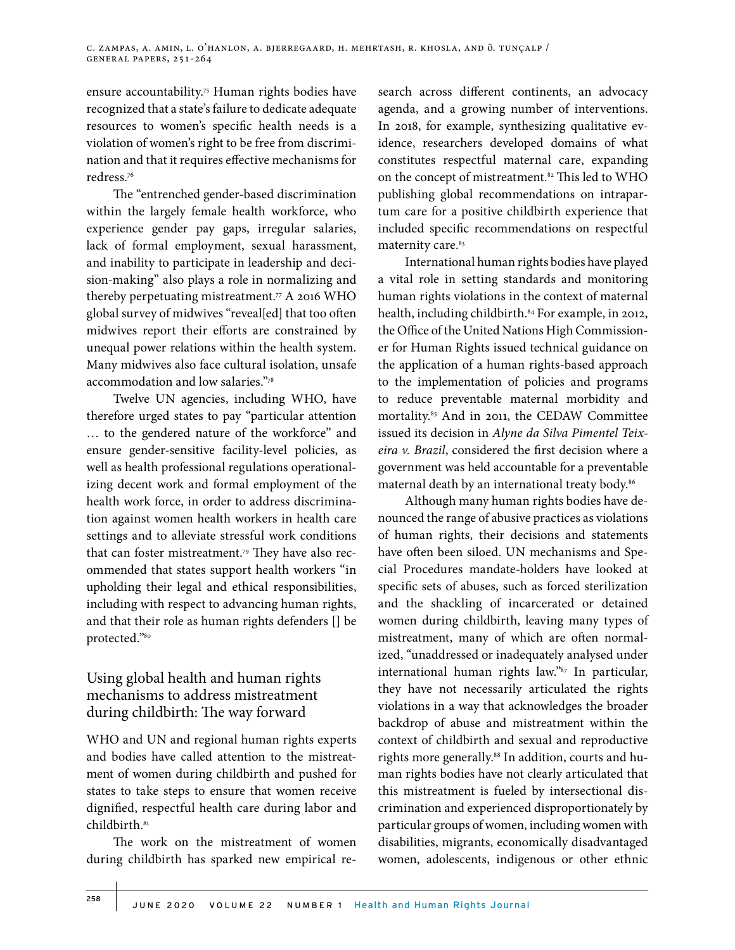ensure accountability.<sup>75</sup> Human rights bodies have recognized that a state's failure to dedicate adequate resources to women's specific health needs is a violation of women's right to be free from discrimination and that it requires effective mechanisms for redress.76

The "entrenched gender-based discrimination within the largely female health workforce, who experience gender pay gaps, irregular salaries, lack of formal employment, sexual harassment, and inability to participate in leadership and decision-making" also plays a role in normalizing and thereby perpetuating mistreatment.77 A 2016 WHO global survey of midwives "reveal[ed] that too often midwives report their efforts are constrained by unequal power relations within the health system. Many midwives also face cultural isolation, unsafe accommodation and low salaries."78

Twelve UN agencies, including WHO, have therefore urged states to pay "particular attention … to the gendered nature of the workforce" and ensure gender-sensitive facility-level policies, as well as health professional regulations operationalizing decent work and formal employment of the health work force, in order to address discrimination against women health workers in health care settings and to alleviate stressful work conditions that can foster mistreatment.79 They have also recommended that states support health workers "in upholding their legal and ethical responsibilities, including with respect to advancing human rights, and that their role as human rights defenders [] be protected."80

# Using global health and human rights mechanisms to address mistreatment during childbirth: The way forward

WHO and UN and regional human rights experts and bodies have called attention to the mistreatment of women during childbirth and pushed for states to take steps to ensure that women receive dignified, respectful health care during labor and childbirth.<sup>81</sup>

The work on the mistreatment of women during childbirth has sparked new empirical research across different continents, an advocacy agenda, and a growing number of interventions. In 2018, for example, synthesizing qualitative evidence, researchers developed domains of what constitutes respectful maternal care, expanding on the concept of mistreatment.<sup>82</sup> This led to WHO publishing global recommendations on intrapartum care for a positive childbirth experience that included specific recommendations on respectful maternity care.<sup>83</sup>

International human rights bodies have played a vital role in setting standards and monitoring human rights violations in the context of maternal health, including childbirth.<sup>84</sup> For example, in 2012, the Office of the United Nations High Commissioner for Human Rights issued technical guidance on the application of a human rights-based approach to the implementation of policies and programs to reduce preventable maternal morbidity and mortality.85 And in 2011, the CEDAW Committee issued its decision in *Alyne da Silva Pimentel Teixeira v. Brazil*, considered the first decision where a government was held accountable for a preventable maternal death by an international treaty body.<sup>86</sup>

Although many human rights bodies have denounced the range of abusive practices as violations of human rights, their decisions and statements have often been siloed. UN mechanisms and Special Procedures mandate-holders have looked at specific sets of abuses, such as forced sterilization and the shackling of incarcerated or detained women during childbirth, leaving many types of mistreatment, many of which are often normalized, "unaddressed or inadequately analysed under international human rights law."87 In particular, they have not necessarily articulated the rights violations in a way that acknowledges the broader backdrop of abuse and mistreatment within the context of childbirth and sexual and reproductive rights more generally.<sup>88</sup> In addition, courts and human rights bodies have not clearly articulated that this mistreatment is fueled by intersectional discrimination and experienced disproportionately by particular groups of women, including women with disabilities, migrants, economically disadvantaged women, adolescents, indigenous or other ethnic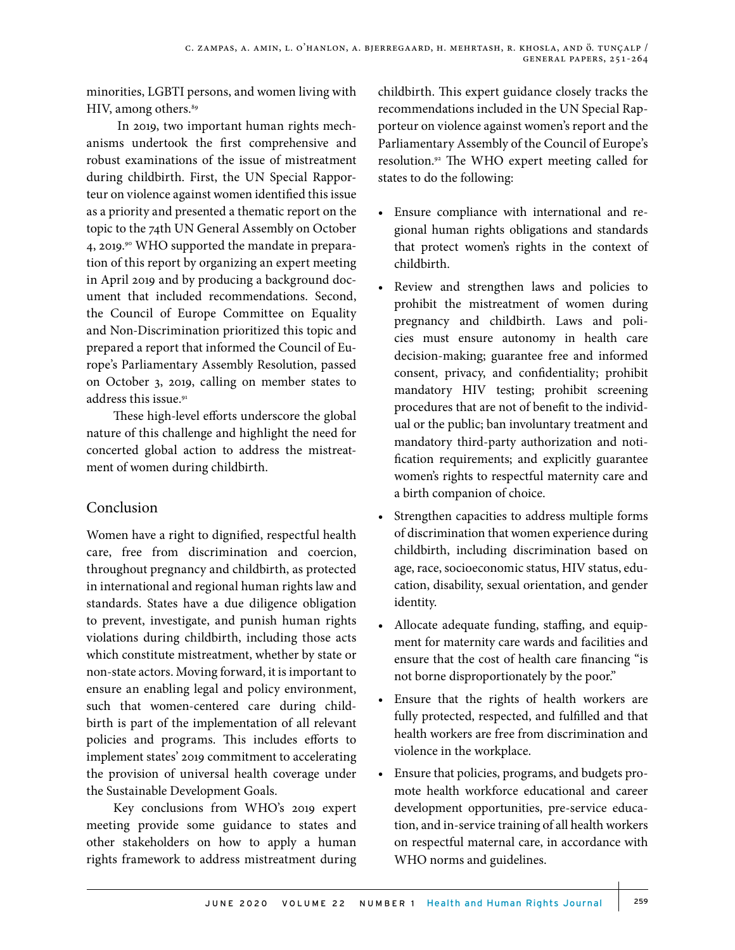minorities, LGBTI persons, and women living with HIV, among others.<sup>89</sup>

 In 2019, two important human rights mechanisms undertook the first comprehensive and robust examinations of the issue of mistreatment during childbirth. First, the UN Special Rapporteur on violence against women identified this issue as a priority and presented a thematic report on the topic to the 74th UN General Assembly on October 4, 2019.<sup>90</sup> WHO supported the mandate in preparation of this report by organizing an expert meeting in April 2019 and by producing a background document that included recommendations. Second, the Council of Europe Committee on Equality and Non-Discrimination prioritized this topic and prepared a report that informed the Council of Europe's Parliamentary Assembly Resolution, passed on October 3, 2019, calling on member states to address this issue.<sup>91</sup>

These high-level efforts underscore the global nature of this challenge and highlight the need for concerted global action to address the mistreatment of women during childbirth.

# Conclusion

Women have a right to dignified, respectful health care, free from discrimination and coercion, throughout pregnancy and childbirth, as protected in international and regional human rights law and standards. States have a due diligence obligation to prevent, investigate, and punish human rights violations during childbirth, including those acts which constitute mistreatment, whether by state or non-state actors. Moving forward, it is important to ensure an enabling legal and policy environment, such that women-centered care during childbirth is part of the implementation of all relevant policies and programs. This includes efforts to implement states' 2019 commitment to accelerating the provision of universal health coverage under the Sustainable Development Goals.

Key conclusions from WHO's 2019 expert meeting provide some guidance to states and other stakeholders on how to apply a human rights framework to address mistreatment during childbirth. This expert guidance closely tracks the recommendations included in the UN Special Rapporteur on violence against women's report and the Parliamentary Assembly of the Council of Europe's resolution.92 The WHO expert meeting called for states to do the following:

- Ensure compliance with international and regional human rights obligations and standards that protect women's rights in the context of childbirth.
- Review and strengthen laws and policies to prohibit the mistreatment of women during pregnancy and childbirth. Laws and policies must ensure autonomy in health care decision-making; guarantee free and informed consent, privacy, and confidentiality; prohibit mandatory HIV testing; prohibit screening procedures that are not of benefit to the individual or the public; ban involuntary treatment and mandatory third-party authorization and notification requirements; and explicitly guarantee women's rights to respectful maternity care and a birth companion of choice.
- Strengthen capacities to address multiple forms of discrimination that women experience during childbirth, including discrimination based on age, race, socioeconomic status, HIV status, education, disability, sexual orientation, and gender identity.
- Allocate adequate funding, staffing, and equipment for maternity care wards and facilities and ensure that the cost of health care financing "is not borne disproportionately by the poor."
- Ensure that the rights of health workers are fully protected, respected, and fulfilled and that health workers are free from discrimination and violence in the workplace.
- Ensure that policies, programs, and budgets promote health workforce educational and career development opportunities, pre-service education, and in-service training of all health workers on respectful maternal care, in accordance with WHO norms and guidelines.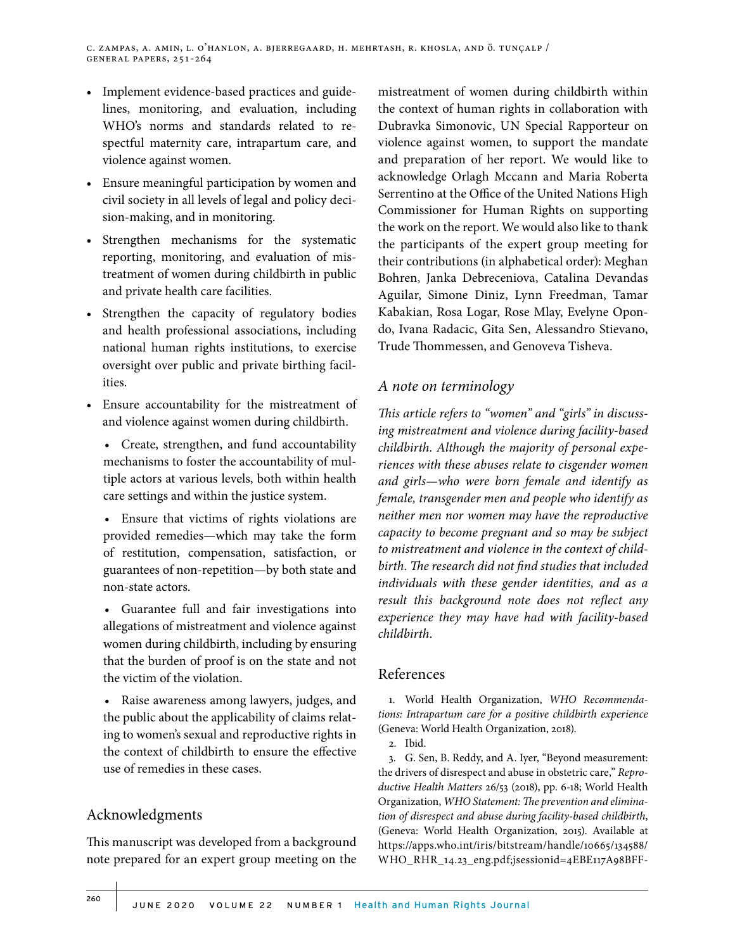- Implement evidence-based practices and guidelines, monitoring, and evaluation, including WHO's norms and standards related to respectful maternity care, intrapartum care, and violence against women.
- Ensure meaningful participation by women and civil society in all levels of legal and policy decision-making, and in monitoring.
- Strengthen mechanisms for the systematic reporting, monitoring, and evaluation of mistreatment of women during childbirth in public and private health care facilities.
- Strengthen the capacity of regulatory bodies and health professional associations, including national human rights institutions, to exercise oversight over public and private birthing facilities.
- Ensure accountability for the mistreatment of and violence against women during childbirth.
	- Create, strengthen, and fund accountability mechanisms to foster the accountability of multiple actors at various levels, both within health care settings and within the justice system.
	- Ensure that victims of rights violations are provided remedies—which may take the form of restitution, compensation, satisfaction, or guarantees of non-repetition—by both state and non-state actors.
	- Guarantee full and fair investigations into allegations of mistreatment and violence against women during childbirth, including by ensuring that the burden of proof is on the state and not the victim of the violation.
	- Raise awareness among lawyers, judges, and the public about the applicability of claims relating to women's sexual and reproductive rights in the context of childbirth to ensure the effective use of remedies in these cases.

# Acknowledgments

This manuscript was developed from a background note prepared for an expert group meeting on the

mistreatment of women during childbirth within the context of human rights in collaboration with Dubravka Simonovic, UN Special Rapporteur on violence against women, to support the mandate and preparation of her report. We would like to acknowledge Orlagh Mccann and Maria Roberta Serrentino at the Office of the United Nations High Commissioner for Human Rights on supporting the work on the report. We would also like to thank the participants of the expert group meeting for their contributions (in alphabetical order): Meghan Bohren, Janka Debreceniova, Catalina Devandas Aguilar, Simone Diniz, Lynn Freedman, Tamar Kabakian, Rosa Logar, Rose Mlay, Evelyne Opondo, Ivana Radacic, Gita Sen, Alessandro Stievano, Trude Thommessen, and Genoveva Tisheva.

## *A note on terminology*

*This article refers to "women" and "girls" in discussing mistreatment and violence during facility-based childbirth. Although the majority of personal experiences with these abuses relate to cisgender women and girls—who were born female and identify as female, transgender men and people who identify as neither men nor women may have the reproductive capacity to become pregnant and so may be subject to mistreatment and violence in the context of childbirth. The research did not find studies that included individuals with these gender identities, and as a result this background note does not reflect any experience they may have had with facility-based childbirth.*

#### References

1. World Health Organization, *WHO Recommendations: Intrapartum care for a positive childbirth experience* (Geneva: World Health Organization, 2018).

2. Ibid.

3. G. Sen, B. Reddy, and A. Iyer, "Beyond measurement: the drivers of disrespect and abuse in obstetric care," *Reproductive Health Matters* 26/53 (2018), pp. 6-18; World Health Organization, *WHO Statement: The prevention and elimination of disrespect and abuse during facility-based childbirth*, (Geneva: World Health Organization, 2015). Available at https://apps.who.int/iris/bitstream/handle/10665/134588/ WHO\_RHR\_14.23\_eng.pdf;jsessionid=4EBE117A98BFF-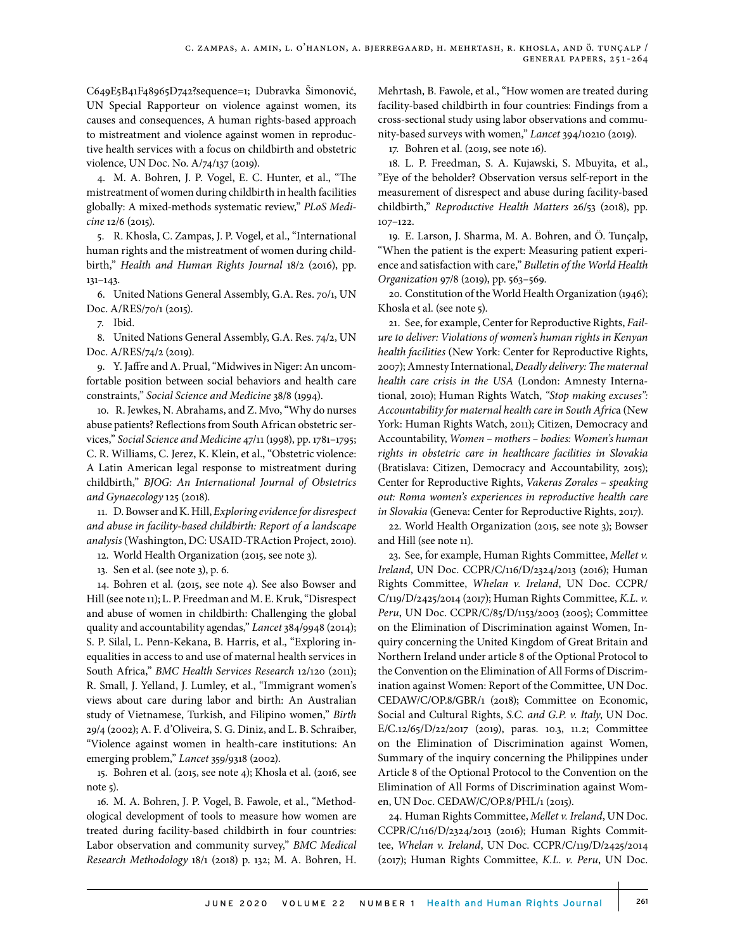C649E5B41F48965D742?sequence=1; Dubravka Šimonović, UN Special Rapporteur on violence against women, its causes and consequences, A human rights-based approach to mistreatment and violence against women in reproductive health services with a focus on childbirth and obstetric violence, UN Doc. No. A/74/137 (2019).

4. M. A. Bohren, J. P. Vogel, E. C. Hunter, et al., "The mistreatment of women during childbirth in health facilities globally: A mixed-methods systematic review," *PLoS Medicine* 12/6 (2015).

5. R. Khosla, C. Zampas, J. P. Vogel, et al., "International human rights and the mistreatment of women during childbirth," *Health and Human Rights Journal* 18/2 (2016), pp. 131–143.

6. United Nations General Assembly, G.A. Res. 70/1, UN Doc. A/RES/70/1 (2015).

7. Ibid.

8. United Nations General Assembly, G.A. Res. 74/2, UN Doc. A/RES/74/2 (2019).

9. Y. Jaffre and A. Prual, "Midwives in Niger: An uncomfortable position between social behaviors and health care constraints," *Social Science and Medicine* 38/8 (1994).

10. R. Jewkes, N. Abrahams, and Z. Mvo, "Why do nurses abuse patients? Reflections from South African obstetric services," *Social Science and Medicine* 47/11 (1998), pp. 1781–1795; C. R. Williams, C. Jerez, K. Klein, et al., "Obstetric violence: A Latin American legal response to mistreatment during childbirth," *BJOG: An International Journal of Obstetrics and Gynaecology* 125 (2018).

11. D. Bowser and K. Hill, *Exploring evidence for disrespect and abuse in facility-based childbirth: Report of a landscape analysis* (Washington, DC: USAID-TRAction Project, 2010).

12. World Health Organization (2015, see note 3).

13. Sen et al. (see note 3), p. 6.

14. Bohren et al. (2015, see note 4). See also Bowser and Hill (see note 11); L. P. Freedman and M. E. Kruk, "Disrespect and abuse of women in childbirth: Challenging the global quality and accountability agendas," *Lancet* 384/9948 (2014); S. P. Silal, L. Penn-Kekana, B. Harris, et al., "Exploring inequalities in access to and use of maternal health services in South Africa," *BMC Health Services Research* 12/120 (2011); R. Small, J. Yelland, J. Lumley, et al., "Immigrant women's views about care during labor and birth: An Australian study of Vietnamese, Turkish, and Filipino women," *Birth* 29/4 (2002); A. F. d'Oliveira, S. G. Diniz, and L. B. Schraiber, "Violence against women in health-care institutions: An emerging problem," *Lancet* 359/9318 (2002).

15. Bohren et al. (2015, see note 4); Khosla et al. (2016, see note 5).

16. M. A. Bohren, J. P. Vogel, B. Fawole, et al., "Methodological development of tools to measure how women are treated during facility-based childbirth in four countries: Labor observation and community survey," *BMC Medical Research Methodology* 18/1 (2018) p. 132; M. A. Bohren, H. Mehrtash, B. Fawole, et al., "How women are treated during facility-based childbirth in four countries: Findings from a cross-sectional study using labor observations and community-based surveys with women," *Lancet* 394/10210 (2019).

17. Bohren et al. (2019, see note 16).

18. L. P. Freedman, S. A. Kujawski, S. Mbuyita, et al., "Eye of the beholder? Observation versus self-report in the measurement of disrespect and abuse during facility-based childbirth," *Reproductive Health Matters* 26/53 (2018), pp. 107–122.

19. E. Larson, J. Sharma, M. A. Bohren, and Ö. Tunçalp, "When the patient is the expert: Measuring patient experience and satisfaction with care," *Bulletin of the World Health Organization* 97/8 (2019), pp. 563–569.

20. Constitution of the World Health Organization (1946); Khosla et al. (see note 5).

21. See, for example, Center for Reproductive Rights, *Failure to deliver: Violations of women's human rights in Kenyan health facilities* (New York: Center for Reproductive Rights, 2007); Amnesty International, *Deadly delivery: The maternal health care crisis in the USA* (London: Amnesty International, 2010); Human Rights Watch, *"Stop making excuses": Accountability for maternal health care in South Afric*a (New York: Human Rights Watch, 2011); Citizen, Democracy and Accountability, *Women – mothers – bodies: Women's human rights in obstetric care in healthcare facilities in Slovakia*  (Bratislava: Citizen, Democracy and Accountability, 2015); Center for Reproductive Rights, *Vakeras Zorales – speaking out: Roma women's experiences in reproductive health care in Slovakia* (Geneva: Center for Reproductive Rights, 2017).

22. World Health Organization (2015, see note 3); Bowser and Hill (see note 11).

23. See, for example, Human Rights Committee, *Mellet v. Ireland*, UN Doc. CCPR/C/116/D/2324/2013 (2016); Human Rights Committee, *Whelan v. Ireland*, UN Doc. CCPR/ C/119/D/2425/2014 (2017); Human Rights Committee, *K.L. v. Peru*, UN Doc. CCPR/C/85/D/1153/2003 (2005); Committee on the Elimination of Discrimination against Women, Inquiry concerning the United Kingdom of Great Britain and Northern Ireland under article 8 of the Optional Protocol to the Convention on the Elimination of All Forms of Discrimination against Women: Report of the Committee, UN Doc. CEDAW/C/OP.8/GBR/1 (2018); Committee on Economic, Social and Cultural Rights, *S.C. and G.P. v. Italy*, UN Doc. E/C.12/65/D/22/2017 (2019), paras. 10.3, 11.2; Committee on the Elimination of Discrimination against Women, Summary of the inquiry concerning the Philippines under Article 8 of the Optional Protocol to the Convention on the Elimination of All Forms of Discrimination against Women, UN Doc. CEDAW/C/OP.8/PHL/1 (2015).

24. Human Rights Committee, *Mellet v. Ireland*, UN Doc. CCPR/C/116/D/2324/2013 (2016); Human Rights Committee, *Whelan v. Ireland*, UN Doc. CCPR/C/119/D/2425/2014 (2017); Human Rights Committee, *K.L. v. Peru*, UN Doc.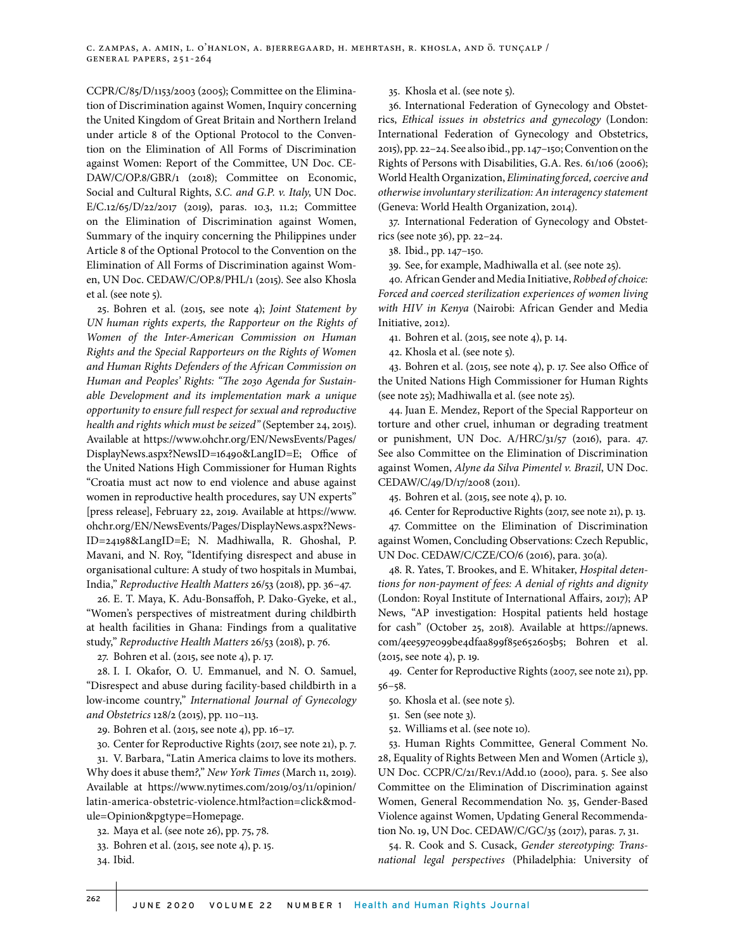CCPR/C/85/D/1153/2003 (2005); Committee on the Elimination of Discrimination against Women, Inquiry concerning the United Kingdom of Great Britain and Northern Ireland under article 8 of the Optional Protocol to the Convention on the Elimination of All Forms of Discrimination against Women: Report of the Committee, UN Doc. CE-DAW/C/OP.8/GBR/1 (2018); Committee on Economic, Social and Cultural Rights, *S.C. and G.P. v. Italy*, UN Doc. E/C.12/65/D/22/2017 (2019), paras. 10.3, 11.2; Committee on the Elimination of Discrimination against Women, Summary of the inquiry concerning the Philippines under Article 8 of the Optional Protocol to the Convention on the Elimination of All Forms of Discrimination against Women, UN Doc. CEDAW/C/OP.8/PHL/1 (2015). See also Khosla et al. (see note 5).

25. Bohren et al. (2015, see note 4); *Joint Statement by UN human rights experts, the Rapporteur on the Rights of Women of the Inter-American Commission on Human Rights and the Special Rapporteurs on the Rights of Women and Human Rights Defenders of the African Commission on Human and Peoples' Rights: "The 2030 Agenda for Sustainable Development and its implementation mark a unique opportunity to ensure full respect for sexual and reproductive health and rights which must be seized"* (September 24, 2015). Available at https://www.ohchr.org/EN/NewsEvents/Pages/ DisplayNews.aspx?NewsID=16490&LangID=E; Office of the United Nations High Commissioner for Human Rights "Croatia must act now to end violence and abuse against women in reproductive health procedures, say UN experts" [press release], February 22, 2019. Available at https://www. ohchr.org/EN/NewsEvents/Pages/DisplayNews.aspx?News-ID=24198&LangID=E; N. Madhiwalla, R. Ghoshal, P. Mavani, and N. Roy, "Identifying disrespect and abuse in organisational culture: A study of two hospitals in Mumbai, India," *Reproductive Health Matters* 26/53 (2018), pp. 36–47.

26. E. T. Maya, K. Adu-Bonsaffoh, P. Dako-Gyeke, et al., "Women's perspectives of mistreatment during childbirth at health facilities in Ghana: Findings from a qualitative study," *Reproductive Health Matters* 26/53 (2018), p. 76.

27. Bohren et al. (2015, see note 4), p. 17.

28. I. I. Okafor, O. U. Emmanuel, and N. O. Samuel, "Disrespect and abuse during facility-based childbirth in a low-income country," *International Journal of Gynecology and Obstetrics* 128/2 (2015), pp. 110–113.

29. Bohren et al. (2015, see note 4), pp. 16–17.

30. Center for Reproductive Rights (2017, see note 21), p. 7. 31. V. Barbara, "Latin America claims to love its mothers. Why does it abuse them*?*," *New York Times* (March 11, 2019). Available at https://www.nytimes.com/2019/03/11/opinion/ latin-america-obstetric-violence.html?action=click&module=Opinion&pgtype=Homepage.

32. Maya et al. (see note 26), pp. 75, 78.

33. Bohren et al. (2015, see note 4), p. 15.

34. Ibid.

35. Khosla et al. (see note 5).

36. International Federation of Gynecology and Obstetrics, *Ethical issues in obstetrics and gynecology* (London: International Federation of Gynecology and Obstetrics, 2015), pp. 22–24. See also ibid., pp. 147–150; Convention on the Rights of Persons with Disabilities, G.A. Res. 61/106 (2006); World Health Organization, *Eliminating forced, coercive and otherwise involuntary sterilization: An interagency statement* (Geneva: World Health Organization, 2014).

37. International Federation of Gynecology and Obstetrics (see note 36), pp. 22–24.

38. Ibid., pp. 147–150.

39. See, for example, Madhiwalla et al. (see note 25).

40. African Gender and Media Initiative, *Robbed of choice: Forced and coerced sterilization experiences of women living with HIV in Kenya* (Nairobi: African Gender and Media Initiative, 2012).

41. Bohren et al. (2015, see note 4), p. 14.

42. Khosla et al. (see note 5).

43. Bohren et al. (2015, see note 4), p. 17. See also Office of the United Nations High Commissioner for Human Rights (see note 25); Madhiwalla et al. (see note 25).

44. Juan E. Mendez, Report of the Special Rapporteur on torture and other cruel, inhuman or degrading treatment or punishment, UN Doc. A/HRC/31/57 (2016), para. 47. See also Committee on the Elimination of Discrimination against Women, *Alyne da Silva Pimentel v. Brazil*, UN Doc. CEDAW/C/49/D/17/2008 (2011).

45. Bohren et al. (2015, see note 4), p. 10.

46. Center for Reproductive Rights (2017, see note 21), p. 13.

47. Committee on the Elimination of Discrimination against Women, Concluding Observations: Czech Republic, UN Doc. CEDAW/C/CZE/CO/6 (2016), para. 30(a).

48. R. Yates, T. Brookes, and E. Whitaker, *Hospital detentions for non-payment of fees: A denial of rights and dignity* (London: Royal Institute of International Affairs, 2017); AP News, "AP investigation: Hospital patients held hostage for cash" (October 25, 2018). Available at https://apnews. com/4ee597e099be4dfaa899f85e652605b5; Bohren et al. (2015, see note 4), p. 19.

49. Center for Reproductive Rights (2007, see note 21), pp. 56–58.

50. Khosla et al. (see note 5).

51. Sen (see note 3).

52. Williams et al. (see note 10).

53. Human Rights Committee, General Comment No. 28, Equality of Rights Between Men and Women (Article 3), UN Doc. CCPR/C/21/Rev.1/Add.10 (2000), para. 5. See also Committee on the Elimination of Discrimination against Women, General Recommendation No. 35, Gender-Based Violence against Women, Updating General Recommendation No. 19, UN Doc. CEDAW/C/GC/35 (2017), paras. 7, 31.

54. R. Cook and S. Cusack, *Gender stereotyping: Transnational legal perspectives* (Philadelphia: University of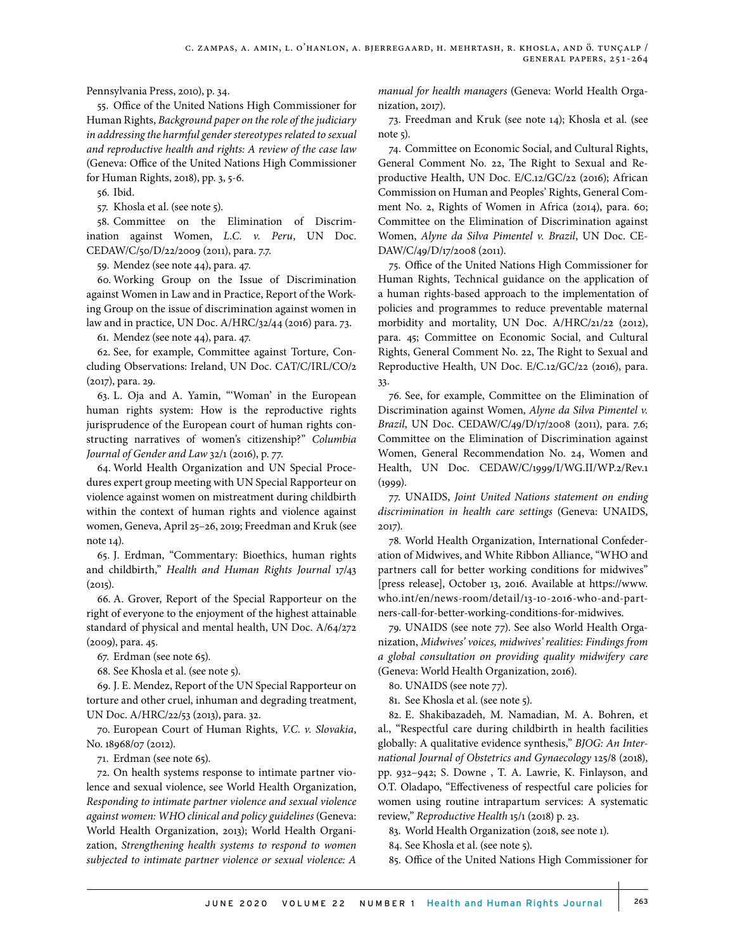Pennsylvania Press, 2010), p. 34.

55. Office of the United Nations High Commissioner for Human Rights, *Background paper on the role of the judiciary in addressing the harmful gender stereotypes related to sexual and reproductive health and rights: A review of the case law* (Geneva: Office of the United Nations High Commissioner for Human Rights, 2018), pp. 3, 5-6.

56. Ibid.

57. Khosla et al. (see note 5).

58. Committee on the Elimination of Discrimination against Women, *L.C. v. Peru*, UN Doc. CEDAW/C/50/D/22/2009 (2011), para. 7.7.

59. Mendez (see note 44), para. 47.

60. Working Group on the Issue of Discrimination against Women in Law and in Practice, Report of the Working Group on the issue of discrimination against women in law and in practice, UN Doc. A/HRC/32/44 (2016) para. 73.

61. Mendez (see note 44), para. 47.

62. See, for example, Committee against Torture, Concluding Observations: Ireland, UN Doc. CAT/C/IRL/CO/2 (2017), para. 29.

63. L. Oja and A. Yamin, "'Woman' in the European human rights system: How is the reproductive rights jurisprudence of the European court of human rights constructing narratives of women's citizenship?" *Columbia Journal of Gender and Law* 32/1 (2016), p. 77.

64. World Health Organization and UN Special Procedures expert group meeting with UN Special Rapporteur on violence against women on mistreatment during childbirth within the context of human rights and violence against women, Geneva, April 25–26, 2019; Freedman and Kruk (see note 14).

65. J. Erdman, "Commentary: Bioethics, human rights and childbirth," *Health and Human Rights Journal* 17/43  $(2015).$ 

66. A. Grover, Report of the Special Rapporteur on the right of everyone to the enjoyment of the highest attainable standard of physical and mental health, UN Doc. A/64/272 (2009), para. 45.

67. Erdman (see note 65).

68. See Khosla et al. (see note 5).

69. J. E. Mendez, Report of the UN Special Rapporteur on torture and other cruel, inhuman and degrading treatment, UN Doc. A/HRC/22/53 (2013), para. 32.

70. European Court of Human Rights, *V.C. v. Slovakia*, No. 18968/07 (2012).

71. Erdman (see note 65).

72. On health systems response to intimate partner violence and sexual violence, see World Health Organization, *Responding to intimate partner violence and sexual violence against women: WHO clinical and policy guidelines* (Geneva: World Health Organization, 2013); World Health Organization, *Strengthening health systems to respond to women subjected to intimate partner violence or sexual violence: A*  *manual for health managers* (Geneva: World Health Organization, 2017).

73. Freedman and Kruk (see note 14); Khosla et al. (see note 5).

74. Committee on Economic Social, and Cultural Rights, General Comment No. 22, The Right to Sexual and Reproductive Health, UN Doc. E/C.12/GC/22 (2016); African Commission on Human and Peoples' Rights, General Comment No. 2, Rights of Women in Africa (2014), para. 60; Committee on the Elimination of Discrimination against Women, *Alyne da Silva Pimentel v. Brazil*, UN Doc. CE-DAW/C/49/D/17/2008 (2011).

75. Office of the United Nations High Commissioner for Human Rights, Technical guidance on the application of a human rights-based approach to the implementation of policies and programmes to reduce preventable maternal morbidity and mortality, UN Doc. A/HRC/21/22 (2012), para. 45; Committee on Economic Social, and Cultural Rights, General Comment No. 22, The Right to Sexual and Reproductive Health, UN Doc. E/C.12/GC/22 (2016), para. 33.

76. See, for example, Committee on the Elimination of Discrimination against Women, *Alyne da Silva Pimentel v. Brazil*, UN Doc. CEDAW/C/49/D/17/2008 (2011), para. 7.6; Committee on the Elimination of Discrimination against Women, General Recommendation No. 24, Women and Health, UN Doc. CEDAW/C/1999/I/WG.II/WP.2/Rev.1  $(1999)$ .

77. UNAIDS, *Joint United Nations statement on ending discrimination in health care settings* (Geneva: UNAIDS, 2017).

78. World Health Organization, International Confederation of Midwives, and White Ribbon Alliance, "WHO and partners call for better working conditions for midwives" [press release], October 13, 2016. Available at https://www. who.int/en/news-room/detail/13-10-2016-who-and-partners-call-for-better-working-conditions-for-midwives.

79. UNAIDS (see note 77). See also World Health Organization, *Midwives' voices, midwives' realities: Findings from a global consultation on providing quality midwifery care* (Geneva: World Health Organization, 2016).

80. UNAIDS (see note 77).

81. See Khosla et al. (see note 5).

82. E. Shakibazadeh, M. Namadian, M. A. Bohren, et al., "Respectful care during childbirth in health facilities globally: A qualitative evidence synthesis," *BJOG: An International Journal of Obstetrics and Gynaecology* 125/8 (2018), pp. 932–942; S. Downe , T. A. Lawrie, K. Finlayson, and O.T. Oladapo, "Effectiveness of respectful care policies for women using routine intrapartum services: A systematic review," *Reproductive Health* 15/1 (2018) p. 23.

83. World Health Organization (2018, see note 1).

84. See Khosla et al. (see note 5).

85. Office of the United Nations High Commissioner for